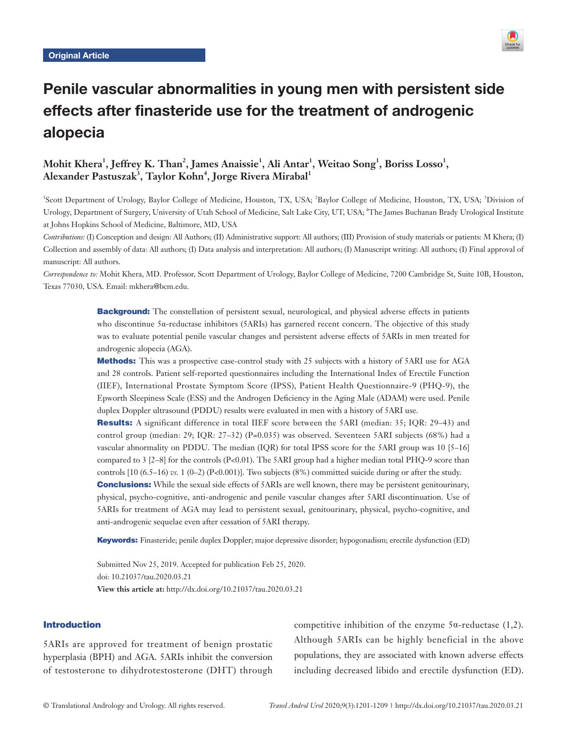

# Penile vascular abnormalities in young men with persistent side effects after finasteride use for the treatment of androgenic alopecia

## $\mathbf{Mohit\ Khera}^{1}, \mathbf{Jeffrey\ K}.$   $\mathbf{Than}^{2}, \mathbf{James\ Anaissie}^{1}, \mathbf{Ali\ Antar}^{1}, \mathbf{Weitao\ Song}^{1}, \mathbf{Boris\ Losso}^{1},$  $\Lambda$ lexander Pastuszak $^3$ , Taylor Kohn $^4$ , Jorge Rivera Mirabal $^1$

<sup>1</sup>Scott Department of Urology, Baylor College of Medicine, Houston, TX, USA; <sup>2</sup>Baylor College of Medicine, Houston, TX, USA; <sup>3</sup>Division of Urology, Department of Surgery, University of Utah School of Medicine, Salt Lake City, UT, USA; <sup>4</sup>The James Buchanan Brady Urological Institute at Johns Hopkins School of Medicine, Baltimore, MD, USA

*Contributions:* (I) Conception and design: All Authors; (II) Administrative support: All authors; (III) Provision of study materials or patients: M Khera; (I) Collection and assembly of data: All authors; (I) Data analysis and interpretation: All authors; (I) Manuscript writing: All authors; (I) Final approval of manuscript: All authors.

*Correspondence to:* Mohit Khera, MD. Professor, Scott Department of Urology, Baylor College of Medicine, 7200 Cambridge St, Suite 10B, Houston, Texas 77030, USA. Email: mkhera@bcm.edu.

> **Background:** The constellation of persistent sexual, neurological, and physical adverse effects in patients who discontinue 5α-reductase inhibitors (5ARIs) has garnered recent concern. The objective of this study was to evaluate potential penile vascular changes and persistent adverse effects of 5ARIs in men treated for androgenic alopecia (AGA).

> **Methods:** This was a prospective case-control study with 25 subjects with a history of 5ARI use for AGA and 28 controls. Patient self-reported questionnaires including the International Index of Erectile Function (IIEF), International Prostate Symptom Score (IPSS), Patient Health Questionnaire-9 (PHQ-9), the Epworth Sleepiness Scale (ESS) and the Androgen Deficiency in the Aging Male (ADAM) were used. Penile duplex Doppler ultrasound (PDDU) results were evaluated in men with a history of 5ARI use.

> Results: A significant difference in total IIEF score between the 5ARI (median: 35; IQR: 29–43) and control group (median: 29; IQR: 27–32) (P=0.035) was observed. Seventeen 5ARI subjects (68%) had a vascular abnormality on PDDU. The median (IQR) for total IPSS score for the 5ARI group was 10 [5–16] compared to 3 [2–8] for the controls (P<0.01). The 5ARI group had a higher median total PHQ-9 score than controls [10 (6.5–16) *vs.* 1 (0–2) (P<0.001)]. Two subjects (8%) committed suicide during or after the study.

> **Conclusions:** While the sexual side effects of 5ARIs are well known, there may be persistent genitourinary, physical, psycho-cognitive, anti-androgenic and penile vascular changes after 5ARI discontinuation. Use of 5ARIs for treatment of AGA may lead to persistent sexual, genitourinary, physical, psycho-cognitive, and anti-androgenic sequelae even after cessation of 5ARI therapy.

> Keywords: Finasteride; penile duplex Doppler; major depressive disorder; hypogonadism; erectile dysfunction (ED)

Submitted Nov 25, 2019. Accepted for publication Feb 25, 2020. doi: 10.21037/tau.2020.03.21 **View this article at:** http://dx.doi.org/10.21037/tau.2020.03.21

#### Introduction

5ARIs are approved for treatment of benign prostatic hyperplasia (BPH) and AGA. 5ARIs inhibit the conversion of testosterone to dihydrotestosterone (DHT) through

competitive inhibition of the enzyme  $5\alpha$ -reductase (1,2). Although 5ARIs can be highly beneficial in the above populations, they are associated with known adverse effects including decreased libido and erectile dysfunction (ED).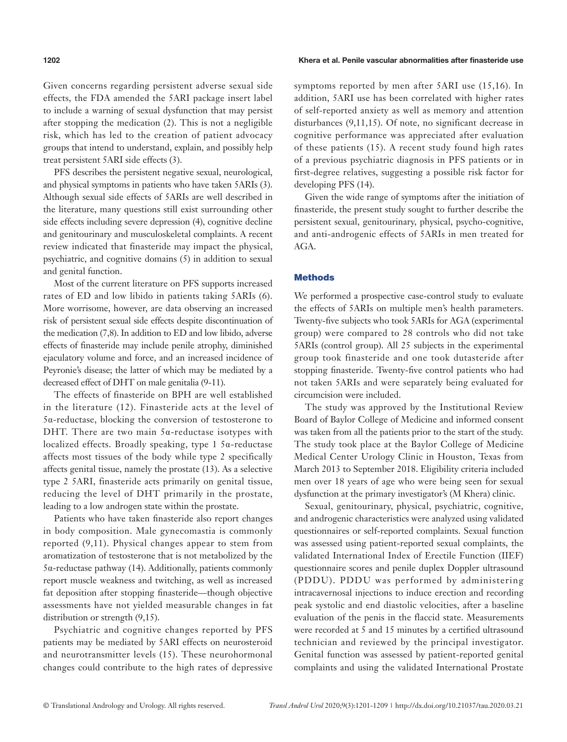#### **1202** Khera et al. Penile vascular abnormalities after finasteride use

Given concerns regarding persistent adverse sexual side effects, the FDA amended the 5ARI package insert label to include a warning of sexual dysfunction that may persist after stopping the medication (2). This is not a negligible risk, which has led to the creation of patient advocacy groups that intend to understand, explain, and possibly help treat persistent 5ARI side effects (3).

PFS describes the persistent negative sexual, neurological, and physical symptoms in patients who have taken 5ARIs (3). Although sexual side effects of 5ARIs are well described in the literature, many questions still exist surrounding other side effects including severe depression (4), cognitive decline and genitourinary and musculoskeletal complaints. A recent review indicated that finasteride may impact the physical, psychiatric, and cognitive domains (5) in addition to sexual and genital function.

Most of the current literature on PFS supports increased rates of ED and low libido in patients taking 5ARIs (6). More worrisome, however, are data observing an increased risk of persistent sexual side effects despite discontinuation of the medication (7,8). In addition to ED and low libido, adverse effects of finasteride may include penile atrophy, diminished ejaculatory volume and force, and an increased incidence of Peyronie's disease; the latter of which may be mediated by a decreased effect of DHT on male genitalia (9-11).

The effects of finasteride on BPH are well established in the literature (12). Finasteride acts at the level of 5α-reductase, blocking the conversion of testosterone to DHT. There are two main 5α-reductase isotypes with localized effects. Broadly speaking, type 1  $5\alpha$ -reductase affects most tissues of the body while type 2 specifically affects genital tissue, namely the prostate (13). As a selective type 2 5ARI, finasteride acts primarily on genital tissue, reducing the level of DHT primarily in the prostate, leading to a low androgen state within the prostate.

Patients who have taken finasteride also report changes in body composition. Male gynecomastia is commonly reported (9,11). Physical changes appear to stem from aromatization of testosterone that is not metabolized by the 5α-reductase pathway (14). Additionally, patients commonly report muscle weakness and twitching, as well as increased fat deposition after stopping finasteride—though objective assessments have not yielded measurable changes in fat distribution or strength (9,15).

Psychiatric and cognitive changes reported by PFS patients may be mediated by 5ARI effects on neurosteroid and neurotransmitter levels (15). These neurohormonal changes could contribute to the high rates of depressive symptoms reported by men after 5ARI use (15,16). In addition, 5ARI use has been correlated with higher rates of self-reported anxiety as well as memory and attention disturbances (9,11,15). Of note, no significant decrease in cognitive performance was appreciated after evaluation of these patients (15). A recent study found high rates of a previous psychiatric diagnosis in PFS patients or in first-degree relatives, suggesting a possible risk factor for developing PFS (14).

Given the wide range of symptoms after the initiation of finasteride, the present study sought to further describe the persistent sexual, genitourinary, physical, psycho-cognitive, and anti-androgenic effects of 5ARIs in men treated for AGA.

#### **Methods**

We performed a prospective case-control study to evaluate the effects of 5ARIs on multiple men's health parameters. Twenty-five subjects who took 5ARIs for AGA (experimental group) were compared to 28 controls who did not take 5ARIs (control group). All 25 subjects in the experimental group took finasteride and one took dutasteride after stopping finasteride. Twenty-five control patients who had not taken 5ARIs and were separately being evaluated for circumcision were included.

The study was approved by the Institutional Review Board of Baylor College of Medicine and informed consent was taken from all the patients prior to the start of the study. The study took place at the Baylor College of Medicine Medical Center Urology Clinic in Houston, Texas from March 2013 to September 2018. Eligibility criteria included men over 18 years of age who were being seen for sexual dysfunction at the primary investigator's (M Khera) clinic.

Sexual, genitourinary, physical, psychiatric, cognitive, and androgenic characteristics were analyzed using validated questionnaires or self-reported complaints. Sexual function was assessed using patient-reported sexual complaints, the validated International Index of Erectile Function (IIEF) questionnaire scores and penile duplex Doppler ultrasound (PDDU). PDDU was performed by administering intracavernosal injections to induce erection and recording peak systolic and end diastolic velocities, after a baseline evaluation of the penis in the flaccid state. Measurements were recorded at 5 and 15 minutes by a certified ultrasound technician and reviewed by the principal investigator. Genital function was assessed by patient-reported genital complaints and using the validated International Prostate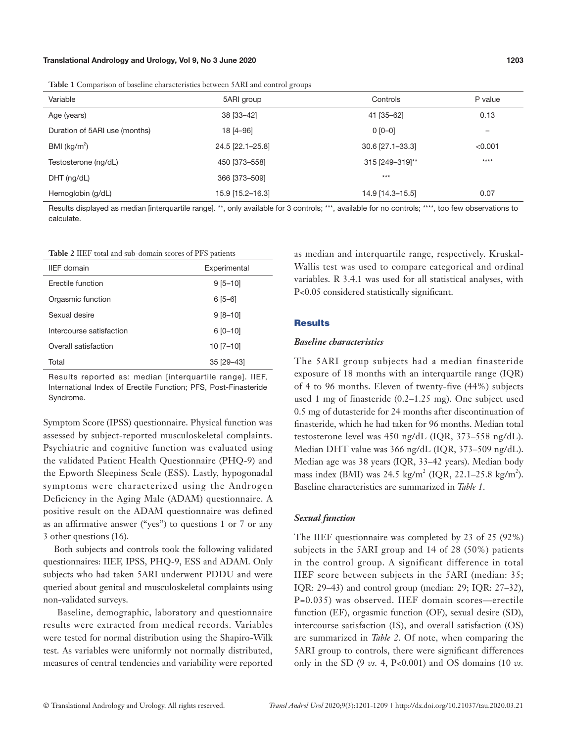| Table 1 Comparison of baseline characteristics between 5ARI and control groups |  |
|--------------------------------------------------------------------------------|--|
|--------------------------------------------------------------------------------|--|

|                               | $\tilde{\phantom{a}}$ |                  |         |
|-------------------------------|-----------------------|------------------|---------|
| Variable                      | 5ARI group            | Controls         | P value |
| Age (years)                   | 38 [33-42]            | 41 [35-62]       | 0.13    |
| Duration of 5ARI use (months) | 18 [4-96]             | $0 [0 - 0]$      | -       |
| BMI ( $kg/m2$ )               | 24.5 [22.1-25.8]      | 30.6 [27.1-33.3] | < 0.001 |
| Testosterone (ng/dL)          | 450 [373-558]         | 315 [249-319]**  | $***$   |
| $DHT$ (ng/dL)                 | 366 [373-509]         | $***$            |         |
| Hemoglobin (g/dL)             | 15.9 [15.2-16.3]      | 14.9 [14.3-15.5] | 0.07    |

Results displayed as median [interquartile range]. \*\*, only available for 3 controls; \*\*\*, available for no controls; \*\*\*\*, too few observations to calculate.

| <b>Table 2 IIEF</b> total and sub-domain scores of PFS patients |  |
|-----------------------------------------------------------------|--|
|-----------------------------------------------------------------|--|

| <b>IIEF</b> domain       | Experimental |
|--------------------------|--------------|
| Frectile function        | $9[5 - 10]$  |
| Orgasmic function        | $6[5-6]$     |
| Sexual desire            | $9[8 - 10]$  |
| Intercourse satisfaction | $6 [0 - 10]$ |
| Overall satisfaction     | $10$ [7-10]  |
| Total                    | 35 [29-43]   |

Results reported as: median [interquartile range]. IIEF, International Index of Erectile Function; PFS, Post-Finasteride Syndrome.

Symptom Score (IPSS) questionnaire. Physical function was assessed by subject-reported musculoskeletal complaints. Psychiatric and cognitive function was evaluated using the validated Patient Health Questionnaire (PHQ-9) and the Epworth Sleepiness Scale (ESS). Lastly, hypogonadal symptoms were characterized using the Androgen Deficiency in the Aging Male (ADAM) questionnaire. A positive result on the ADAM questionnaire was defined as an affirmative answer ("yes") to questions 1 or 7 or any 3 other questions (16).

Both subjects and controls took the following validated questionnaires: IIEF, IPSS, PHQ-9, ESS and ADAM. Only subjects who had taken 5ARI underwent PDDU and were queried about genital and musculoskeletal complaints using non-validated surveys.

 Baseline, demographic, laboratory and questionnaire results were extracted from medical records. Variables were tested for normal distribution using the Shapiro-Wilk test. As variables were uniformly not normally distributed, measures of central tendencies and variability were reported

as median and interquartile range, respectively. Kruskal-Wallis test was used to compare categorical and ordinal variables. R 3.4.1 was used for all statistical analyses, with P<0.05 considered statistically significant.

#### **Results**

#### *Baseline characteristics*

The 5ARI group subjects had a median finasteride exposure of 18 months with an interquartile range (IQR) of 4 to 96 months. Eleven of twenty-five (44%) subjects used 1 mg of finasteride (0.2–1.25 mg). One subject used 0.5 mg of dutasteride for 24 months after discontinuation of finasteride, which he had taken for 96 months. Median total testosterone level was 450 ng/dL (IQR, 373–558 ng/dL). Median DHT value was 366 ng/dL (IQR, 373–509 ng/dL). Median age was 38 years (IQR, 33–42 years). Median body mass index (BMI) was  $24.5 \text{ kg/m}^2$  (IQR,  $22.1 - 25.8 \text{ kg/m}^2$ ). Baseline characteristics are summarized in *Table 1*.

#### *Sexual function*

The IIEF questionnaire was completed by 23 of 25 (92%) subjects in the 5ARI group and 14 of 28 (50%) patients in the control group. A significant difference in total IIEF score between subjects in the 5ARI (median: 35; IQR: 29–43) and control group (median: 29; IQR: 27–32), P=0.035) was observed. IIEF domain scores—erectile function (EF), orgasmic function (OF), sexual desire (SD), intercourse satisfaction (IS), and overall satisfaction (OS) are summarized in *Table 2*. Of note, when comparing the 5ARI group to controls, there were significant differences only in the SD (9 *vs.* 4, P<0.001) and OS domains (10 *vs.*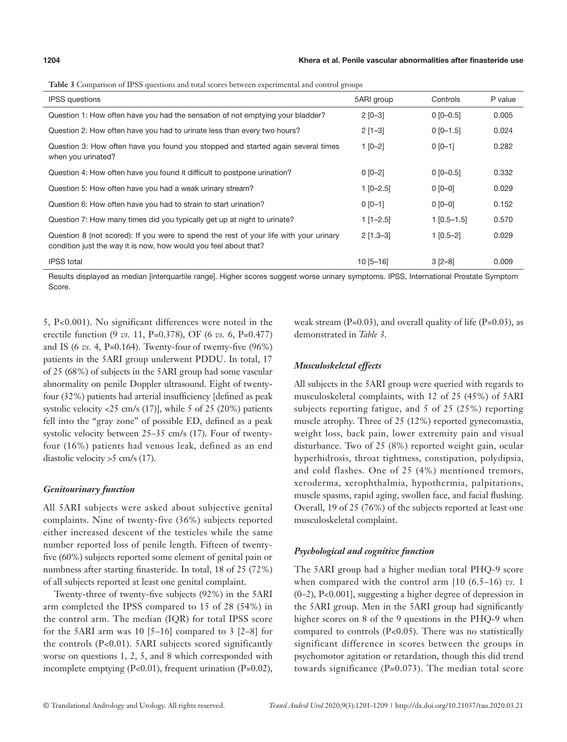| <b>IPSS</b> questions                                                                                                                                     | 5ARI group    | Controls      | P value |
|-----------------------------------------------------------------------------------------------------------------------------------------------------------|---------------|---------------|---------|
| Question 1: How often have you had the sensation of not emptying your bladder?                                                                            | $2 [0 - 3]$   | $0$ [0-0.5]   | 0.005   |
| Question 2: How often have you had to urinate less than every two hours?                                                                                  | $2$ [1-3]     | $0$ [0-1.5]   | 0.024   |
| Question 3: How often have you found you stopped and started again several times<br>when you urinated?                                                    | $1 [0-2]$     | $0 [0 - 1]$   | 0.282   |
| Question 4: How often have you found it difficult to postpone urination?                                                                                  | $0 [0 - 2]$   | $0$ [0-0.5]   | 0.332   |
| Question 5: How often have you had a weak urinary stream?                                                                                                 | $1 [0 - 2.5]$ | $0 [0 - 0]$   | 0.029   |
| Question 6: How often have you had to strain to start urination?                                                                                          | $0 [0 - 1]$   | $0 [0 - 0]$   | 0.152   |
| Question 7: How many times did you typically get up at night to urinate?                                                                                  | $1$ [1-2.5]   | $1$ [0.5-1.5] | 0.570   |
| Question 8 (not scored): If you were to spend the rest of your life with your urinary<br>condition just the way it is now, how would you feel about that? | $2$ [1.3-3]   | $1$ [0.5-2]   | 0.029   |
| <b>IPSS</b> total                                                                                                                                         | $10$ [5-16]   | $3 [2 - 8]$   | 0.009   |

| Table 3 Comparison of IPSS questions and total scores between experimental and control groups |  |  |  |  |
|-----------------------------------------------------------------------------------------------|--|--|--|--|
|-----------------------------------------------------------------------------------------------|--|--|--|--|

Results displayed as median [interquartile range]. Higher scores suggest worse urinary symptoms. IPSS, International Prostate Symptom Score.

5, P<0.001). No significant differences were noted in the erectile function (9 *vs.* 11, P=0.378), OF (6 *vs.* 6, P=0.477) and IS (6 *vs.* 4, P=0.164). Twenty-four of twenty-five (96%) patients in the 5ARI group underwent PDDU. In total, 17 of 25 (68%) of subjects in the 5ARI group had some vascular abnormality on penile Doppler ultrasound. Eight of twentyfour (32%) patients had arterial insufficiency [defined as peak systolic velocity <25 cm/s (17)], while 5 of 25 (20%) patients fell into the "gray zone" of possible ED, defined as a peak systolic velocity between 25–35 cm/s (17). Four of twentyfour (16%) patients had venous leak, defined as an end diastolic velocity >5 cm/s (17).

#### *Genitourinary function*

All 5ARI subjects were asked about subjective genital complaints. Nine of twenty-five (36%) subjects reported either increased descent of the testicles while the same number reported loss of penile length. Fifteen of twentyfive (60%) subjects reported some element of genital pain or numbness after starting finasteride. In total, 18 of 25 (72%) of all subjects reported at least one genital complaint.

Twenty-three of twenty-five subjects (92%) in the 5ARI arm completed the IPSS compared to 15 of 28 (54%) in the control arm. The median (IQR) for total IPSS score for the 5ARI arm was 10 [5–16] compared to 3 [2–8] for the controls (P<0.01). 5ARI subjects scored significantly worse on questions 1, 2, 5, and 8 which corresponded with incomplete emptying (P<0.01), frequent urination (P=0.02),

weak stream  $(P=0.03)$ , and overall quality of life  $(P=0.03)$ , as demonstrated in *Table 3*.

## *Musculoskeletal effects*

All subjects in the 5ARI group were queried with regards to musculoskeletal complaints, with 12 of 25 (45%) of 5ARI subjects reporting fatigue, and 5 of 25 (25%) reporting muscle atrophy. Three of 25 (12%) reported gynecomastia, weight loss, back pain, lower extremity pain and visual disturbance. Two of 25 (8%) reported weight gain, ocular hyperhidrosis, throat tightness, constipation, polydipsia, and cold flashes. One of 25 (4%) mentioned tremors, xeroderma, xerophthalmia, hypothermia, palpitations, muscle spasms, rapid aging, swollen face, and facial flushing. Overall, 19 of 25 (76%) of the subjects reported at least one musculoskeletal complaint.

## *Psychological and cognitive function*

The 5ARI group had a higher median total PHQ-9 score when compared with the control arm [10 (6.5–16) *vs.* 1 (0–2), P<0.001], suggesting a higher degree of depression in the 5ARI group. Men in the 5ARI group had significantly higher scores on 8 of the 9 questions in the PHQ-9 when compared to controls  $(P<0.05)$ . There was no statistically significant difference in scores between the groups in psychomotor agitation or retardation, though this did trend towards significance (P=0.073). The median total score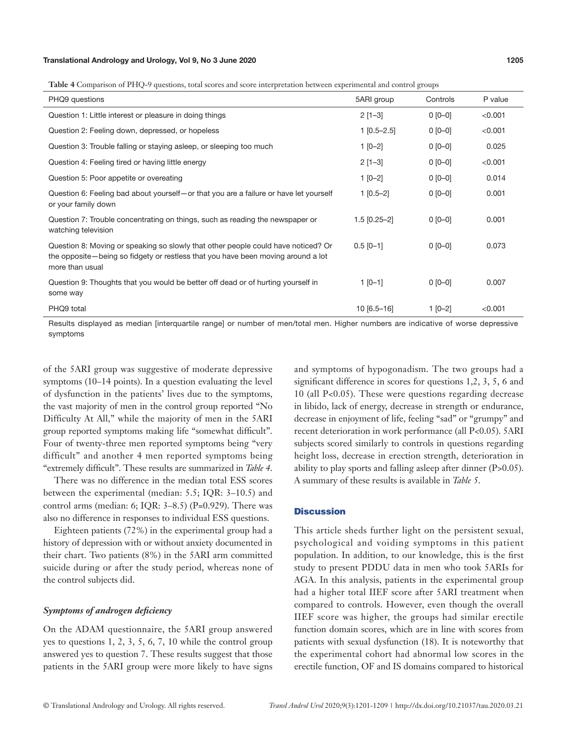**Table 4** Comparison of PHQ-9 questions, total scores and score interpretation between experimental and control groups

| PHQ9 questions                                                                                                                                                                           | 5ARI group     | Controls    | P value |
|------------------------------------------------------------------------------------------------------------------------------------------------------------------------------------------|----------------|-------------|---------|
| Question 1: Little interest or pleasure in doing things                                                                                                                                  | $2$ [1-3]      | $0 [0 - 0]$ | < 0.001 |
| Question 2: Feeling down, depressed, or hopeless                                                                                                                                         | $1$ [0.5-2.5]  | $0 [0 - 0]$ | < 0.001 |
| Question 3: Trouble falling or staying asleep, or sleeping too much                                                                                                                      | $1 [0-2]$      | $0 [0 - 0]$ | 0.025   |
| Question 4: Feeling tired or having little energy                                                                                                                                        | $2[1-3]$       | $0 [0 - 0]$ | < 0.001 |
| Question 5: Poor appetite or overeating                                                                                                                                                  | $1 [0-2]$      | $0 [0 - 0]$ | 0.014   |
| Question 6: Feeling bad about yourself – or that you are a failure or have let yourself<br>or your family down                                                                           | $1$ [0.5-2]    | $0 [0 - 0]$ | 0.001   |
| Question 7: Trouble concentrating on things, such as reading the newspaper or<br>watching television                                                                                     | $1.5$ [0.25-2] | $0 [0 - 0]$ | 0.001   |
| Question 8: Moving or speaking so slowly that other people could have noticed? Or<br>the opposite—being so fidgety or restless that you have been moving around a lot<br>more than usual | $0.5$ [0-1]    | $0 [0 - 0]$ | 0.073   |
| Question 9: Thoughts that you would be better off dead or of hurting yourself in<br>some way                                                                                             | $1$ [0-1]      | $0 [0 - 0]$ | 0.007   |
| PHQ9 total                                                                                                                                                                               | $10[6.5 - 16]$ | $1 [0-2]$   | < 0.001 |

Results displayed as median [interquartile range] or number of men/total men. Higher numbers are indicative of worse depressive symptoms

of the 5ARI group was suggestive of moderate depressive symptoms (10–14 points). In a question evaluating the level of dysfunction in the patients' lives due to the symptoms, the vast majority of men in the control group reported "No Difficulty At All," while the majority of men in the 5ARI group reported symptoms making life "somewhat difficult". Four of twenty-three men reported symptoms being "very difficult" and another 4 men reported symptoms being "extremely difficult". These results are summarized in *Table 4*.

There was no difference in the median total ESS scores between the experimental (median: 5.5; IQR: 3–10.5) and control arms (median: 6; IQR: 3–8.5) (P=0.929). There was also no difference in responses to individual ESS questions.

Eighteen patients (72%) in the experimental group had a history of depression with or without anxiety documented in their chart. Two patients (8%) in the 5ARI arm committed suicide during or after the study period, whereas none of the control subjects did.

#### *Symptoms of androgen deficiency*

On the ADAM questionnaire, the 5ARI group answered yes to questions 1, 2, 3, 5, 6, 7, 10 while the control group answered yes to question 7. These results suggest that those patients in the 5ARI group were more likely to have signs and symptoms of hypogonadism. The two groups had a significant difference in scores for questions 1,2, 3, 5, 6 and 10 (all P<0.05). These were questions regarding decrease in libido, lack of energy, decrease in strength or endurance, decrease in enjoyment of life, feeling "sad" or "grumpy" and recent deterioration in work performance (all P<0.05). 5ARI subjects scored similarly to controls in questions regarding height loss, decrease in erection strength, deterioration in ability to play sports and falling asleep after dinner (P>0.05). A summary of these results is available in *Table 5*.

## **Discussion**

This article sheds further light on the persistent sexual, psychological and voiding symptoms in this patient population. In addition, to our knowledge, this is the first study to present PDDU data in men who took 5ARIs for AGA. In this analysis, patients in the experimental group had a higher total IIEF score after 5ARI treatment when compared to controls. However, even though the overall IIEF score was higher, the groups had similar erectile function domain scores, which are in line with scores from patients with sexual dysfunction (18). It is noteworthy that the experimental cohort had abnormal low scores in the erectile function, OF and IS domains compared to historical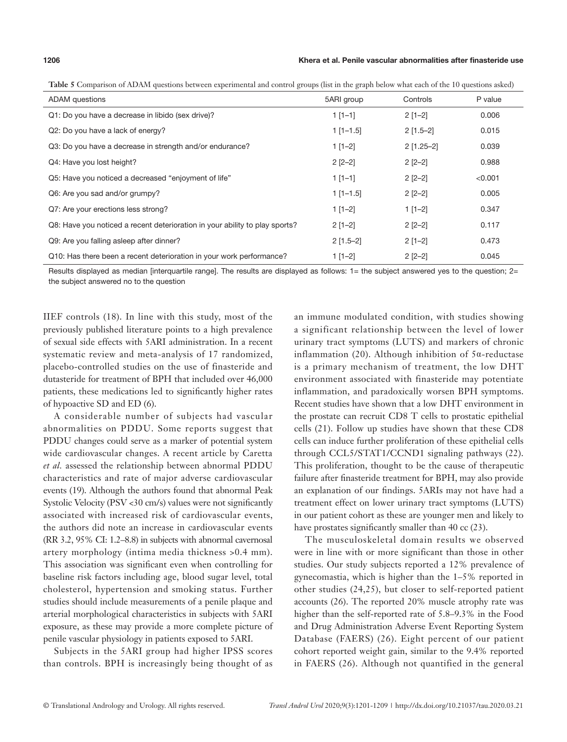#### **1206** Khera et al. Penile vascular abnormalities after finasteride use

| <b>ADAM</b> questions                                                       | 5ARI group  | Controls     | P value |
|-----------------------------------------------------------------------------|-------------|--------------|---------|
| Q1: Do you have a decrease in libido (sex drive)?                           | $1$ [1-1]   | $2[1-2]$     | 0.006   |
| Q2: Do you have a lack of energy?                                           | $1$ [1-1.5] | $2$ [1.5-2]  | 0.015   |
| Q3: Do you have a decrease in strength and/or endurance?                    | $1$ [1-2]   | $2$ [1.25-2] | 0.039   |
| Q4: Have you lost height?                                                   | $2$ [2-2]   | $2$ [2-2]    | 0.988   |
| Q5: Have you noticed a decreased "enjoyment of life"                        | $1$ [1-1]   | $2$ [2-2]    | < 0.001 |
| Q6: Are you sad and/or grumpy?                                              | $1$ [1-1.5] | $2$ [2-2]    | 0.005   |
| Q7: Are your erections less strong?                                         | $1$ [1-2]   | $1$ [1-2]    | 0.347   |
| Q8: Have you noticed a recent deterioration in your ability to play sports? | $2[1-2]$    | $2$ [2-2]    | 0.117   |
| Q9: Are you falling asleep after dinner?                                    | $2$ [1.5-2] | $2[1-2]$     | 0.473   |
| Q10: Has there been a recent deterioration in your work performance?        | $1$ [1-2]   | $2$ [2-2]    | 0.045   |

**Table 5** Comparison of ADAM questions between experimental and control groups (list in the graph below what each of the 10 questions asked)

Results displayed as median [interquartile range]. The results are displayed as follows: 1= the subject answered yes to the question; 2= the subject answered no to the question

IIEF controls (18). In line with this study, most of the previously published literature points to a high prevalence of sexual side effects with 5ARI administration. In a recent systematic review and meta-analysis of 17 randomized, placebo-controlled studies on the use of finasteride and dutasteride for treatment of BPH that included over 46,000 patients, these medications led to significantly higher rates of hypoactive SD and ED (6).

A considerable number of subjects had vascular abnormalities on PDDU. Some reports suggest that PDDU changes could serve as a marker of potential system wide cardiovascular changes. A recent article by Caretta *et al.* assessed the relationship between abnormal PDDU characteristics and rate of major adverse cardiovascular events (19). Although the authors found that abnormal Peak Systolic Velocity (PSV <30 cm/s) values were not significantly associated with increased risk of cardiovascular events, the authors did note an increase in cardiovascular events (RR 3.2, 95% CI: 1.2–8.8) in subjects with abnormal cavernosal artery morphology (intima media thickness >0.4 mm). This association was significant even when controlling for baseline risk factors including age, blood sugar level, total cholesterol, hypertension and smoking status. Further studies should include measurements of a penile plaque and arterial morphological characteristics in subjects with 5ARI exposure, as these may provide a more complete picture of penile vascular physiology in patients exposed to 5ARI.

Subjects in the 5ARI group had higher IPSS scores than controls. BPH is increasingly being thought of as an immune modulated condition, with studies showing a significant relationship between the level of lower urinary tract symptoms (LUTS) and markers of chronic inflammation (20). Although inhibition of 5α-reductase is a primary mechanism of treatment, the low DHT environment associated with finasteride may potentiate inflammation, and paradoxically worsen BPH symptoms. Recent studies have shown that a low DHT environment in the prostate can recruit CD8 T cells to prostatic epithelial cells (21). Follow up studies have shown that these CD8 cells can induce further proliferation of these epithelial cells through CCL5/STAT1/CCND1 signaling pathways (22). This proliferation, thought to be the cause of therapeutic failure after finasteride treatment for BPH, may also provide an explanation of our findings. 5ARIs may not have had a treatment effect on lower urinary tract symptoms (LUTS) in our patient cohort as these are younger men and likely to have prostates significantly smaller than 40 cc (23).

The musculoskeletal domain results we observed were in line with or more significant than those in other studies. Our study subjects reported a 12% prevalence of gynecomastia, which is higher than the 1–5% reported in other studies (24,25), but closer to self-reported patient accounts (26). The reported 20% muscle atrophy rate was higher than the self-reported rate of 5.8–9.3% in the Food and Drug Administration Adverse Event Reporting System Database (FAERS) (26). Eight percent of our patient cohort reported weight gain, similar to the 9.4% reported in FAERS (26). Although not quantified in the general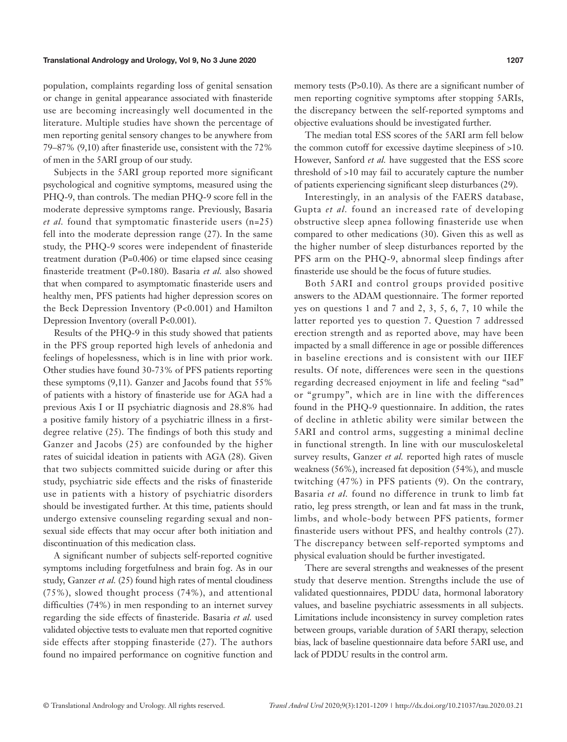population, complaints regarding loss of genital sensation or change in genital appearance associated with finasteride use are becoming increasingly well documented in the literature. Multiple studies have shown the percentage of men reporting genital sensory changes to be anywhere from 79–87% (9,10) after finasteride use, consistent with the 72% of men in the 5ARI group of our study.

Subjects in the 5ARI group reported more significant psychological and cognitive symptoms, measured using the PHQ-9, than controls. The median PHQ-9 score fell in the moderate depressive symptoms range. Previously, Basaria *et al.* found that symptomatic finasteride users (n=25) fell into the moderate depression range (27). In the same study, the PHQ-9 scores were independent of finasteride treatment duration (P=0.406) or time elapsed since ceasing finasteride treatment (P=0.180). Basaria *et al.* also showed that when compared to asymptomatic finasteride users and healthy men, PFS patients had higher depression scores on the Beck Depression Inventory (P<0.001) and Hamilton Depression Inventory (overall P<0.001).

Results of the PHQ-9 in this study showed that patients in the PFS group reported high levels of anhedonia and feelings of hopelessness, which is in line with prior work. Other studies have found 30-73% of PFS patients reporting these symptoms (9,11). Ganzer and Jacobs found that 55% of patients with a history of finasteride use for AGA had a previous Axis I or II psychiatric diagnosis and 28.8% had a positive family history of a psychiatric illness in a firstdegree relative (25). The findings of both this study and Ganzer and Jacobs (25) are confounded by the higher rates of suicidal ideation in patients with AGA (28). Given that two subjects committed suicide during or after this study, psychiatric side effects and the risks of finasteride use in patients with a history of psychiatric disorders should be investigated further. At this time, patients should undergo extensive counseling regarding sexual and nonsexual side effects that may occur after both initiation and discontinuation of this medication class.

A significant number of subjects self-reported cognitive symptoms including forgetfulness and brain fog. As in our study, Ganzer *et al.* (25) found high rates of mental cloudiness (75%), slowed thought process (74%), and attentional difficulties (74%) in men responding to an internet survey regarding the side effects of finasteride. Basaria *et al.* used validated objective tests to evaluate men that reported cognitive side effects after stopping finasteride (27). The authors found no impaired performance on cognitive function and

memory tests (P>0.10). As there are a significant number of men reporting cognitive symptoms after stopping 5ARIs, the discrepancy between the self-reported symptoms and objective evaluations should be investigated further.

The median total ESS scores of the 5ARI arm fell below the common cutoff for excessive daytime sleepiness of >10. However, Sanford *et al.* have suggested that the ESS score threshold of >10 may fail to accurately capture the number of patients experiencing significant sleep disturbances (29).

Interestingly, in an analysis of the FAERS database, Gupta *et al.* found an increased rate of developing obstructive sleep apnea following finasteride use when compared to other medications (30). Given this as well as the higher number of sleep disturbances reported by the PFS arm on the PHQ-9, abnormal sleep findings after finasteride use should be the focus of future studies.

Both 5ARI and control groups provided positive answers to the ADAM questionnaire. The former reported yes on questions 1 and 7 and 2, 3, 5, 6, 7, 10 while the latter reported yes to question 7. Question 7 addressed erection strength and as reported above, may have been impacted by a small difference in age or possible differences in baseline erections and is consistent with our IIEF results. Of note, differences were seen in the questions regarding decreased enjoyment in life and feeling "sad" or "grumpy", which are in line with the differences found in the PHQ-9 questionnaire. In addition, the rates of decline in athletic ability were similar between the 5ARI and control arms, suggesting a minimal decline in functional strength. In line with our musculoskeletal survey results, Ganzer *et al.* reported high rates of muscle weakness (56%), increased fat deposition (54%), and muscle twitching (47%) in PFS patients (9). On the contrary, Basaria *et al.* found no difference in trunk to limb fat ratio, leg press strength, or lean and fat mass in the trunk, limbs, and whole-body between PFS patients, former finasteride users without PFS, and healthy controls (27). The discrepancy between self-reported symptoms and physical evaluation should be further investigated.

There are several strengths and weaknesses of the present study that deserve mention. Strengths include the use of validated questionnaires, PDDU data, hormonal laboratory values, and baseline psychiatric assessments in all subjects. Limitations include inconsistency in survey completion rates between groups, variable duration of 5ARI therapy, selection bias, lack of baseline questionnaire data before 5ARI use, and lack of PDDU results in the control arm.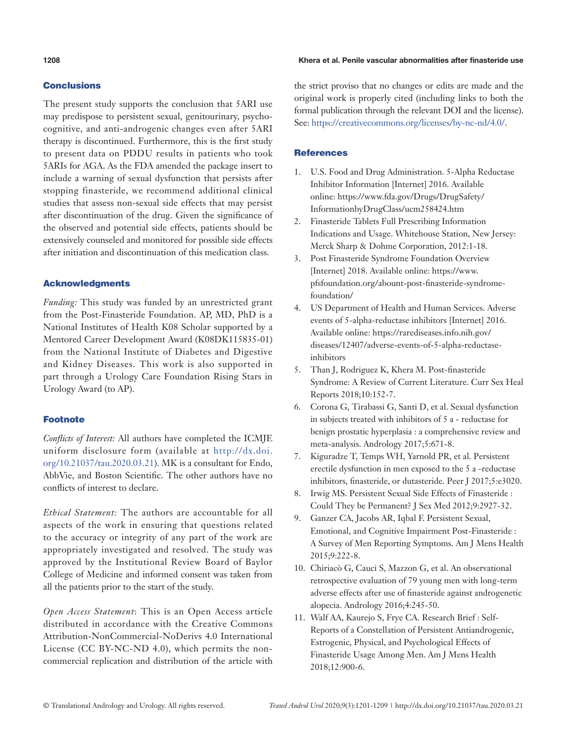## Conclusions

The present study supports the conclusion that 5ARI use may predispose to persistent sexual, genitourinary, psychocognitive, and anti-androgenic changes even after 5ARI therapy is discontinued. Furthermore, this is the first study to present data on PDDU results in patients who took 5ARIs for AGA. As the FDA amended the package insert to include a warning of sexual dysfunction that persists after stopping finasteride, we recommend additional clinical studies that assess non-sexual side effects that may persist after discontinuation of the drug. Given the significance of the observed and potential side effects, patients should be extensively counseled and monitored for possible side effects after initiation and discontinuation of this medication class.

## Acknowledgments

*Funding:* This study was funded by an unrestricted grant from the Post-Finasteride Foundation. AP, MD, PhD is a National Institutes of Health K08 Scholar supported by a Mentored Career Development Award (K08DK115835-01) from the National Institute of Diabetes and Digestive and Kidney Diseases. This work is also supported in part through a Urology Care Foundation Rising Stars in Urology Award (to AP).

#### Footnote

*Conflicts of Interest:* All authors have completed the ICMJE uniform disclosure form (available at [http://dx.doi.](http://dx.doi.org/10.21037/tau.2020.03.21) [org/10.21037/tau.2020.03.21\)](http://dx.doi.org/10.21037/tau.2020.03.21). MK is a consultant for Endo, AbbVie, and Boston Scientific. The other authors have no conflicts of interest to declare.

*Ethical Statement:* The authors are accountable for all aspects of the work in ensuring that questions related to the accuracy or integrity of any part of the work are appropriately investigated and resolved. The study was approved by the Institutional Review Board of Baylor College of Medicine and informed consent was taken from all the patients prior to the start of the study.

*Open Access Statement*: This is an Open Access article distributed in accordance with the Creative Commons Attribution-NonCommercial-NoDerivs 4.0 International License (CC BY-NC-ND 4.0), which permits the noncommercial replication and distribution of the article with

#### **1208** Khera et al. Penile vascular abnormalities after finasteride use

the strict proviso that no changes or edits are made and the original work is properly cited (including links to both the formal publication through the relevant DOI and the license). See:<https://creativecommons.org/licenses/by-nc-nd/4.0/>.

## **References**

- 1. U.S. Food and Drug Administration. 5-Alpha Reductase Inhibitor Information [Internet] 2016. Available online: https://www.fda.gov/Drugs/DrugSafety/ InformationbyDrugClass/ucm258424.htm
- 2. Finasteride Tablets Full Prescribing Information Indications and Usage. Whitehouse Station, New Jersey: Merck Sharp & Dohme Corporation, 2012:1-18.
- 3. Post Finasteride Syndrome Foundation Overview [Internet] 2018. Available online: https://www. pfsfoundation.org/abount-post-finasteride-syndromefoundation/
- 4. US Department of Health and Human Services. Adverse events of 5-alpha-reductase inhibitors [Internet] 2016. Available online: https://rarediseases.info.nih.gov/ diseases/12407/adverse-events-of-5-alpha-reductaseinhibitors
- 5. Than J, Rodriguez K, Khera M. Post-finasteride Syndrome: A Review of Current Literature. Curr Sex Heal Reports 2018;10:152-7.
- 6. Corona G, Tirabassi G, Santi D, et al. Sexual dysfunction in subjects treated with inhibitors of 5 a - reductase for benign prostatic hyperplasia : a comprehensive review and meta-analysis. Andrology 2017;5:671-8.
- 7. Kiguradze T, Temps WH, Yarnold PR, et al. Persistent erectile dysfunction in men exposed to the 5 a -reductase inhibitors, finasteride, or dutasteride. Peer J 2017;5:e3020.
- 8. Irwig MS. Persistent Sexual Side Effects of Finasteride : Could They be Permanent? J Sex Med 2012;9:2927-32.
- 9. Ganzer CA, Jacobs AR, Iqbal F. Persistent Sexual, Emotional, and Cognitive Impairment Post-Finasteride : A Survey of Men Reporting Symptoms. Am J Mens Health 2015;9:222-8.
- 10. Chiriacò G, Cauci S, Mazzon G, et al. An observational retrospective evaluation of 79 young men with long-term adverse effects after use of finasteride against androgenetic alopecia. Andrology 2016;4:245-50.
- 11. Walf AA, Kaurejo S, Frye CA. Research Brief : Self-Reports of a Constellation of Persistent Antiandrogenic, Estrogenic, Physical, and Psychological Effects of Finasteride Usage Among Men. Am J Mens Health 2018;12:900-6.